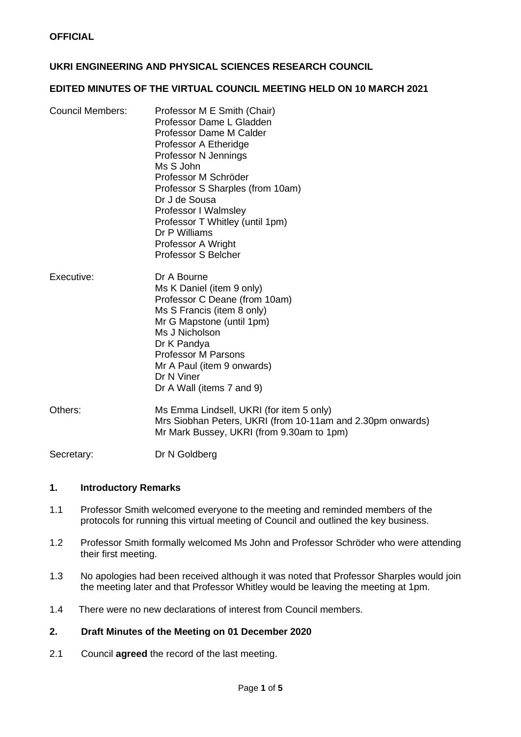# **UKRI ENGINEERING AND PHYSICAL SCIENCES RESEARCH COUNCIL**

#### **EDITED MINUTES OF THE VIRTUAL COUNCIL MEETING HELD ON 10 MARCH 2021**

| Council Members: | Professor M E Smith (Chair)<br>Professor Dame L Gladden<br>Professor Dame M Calder<br>Professor A Etheridge<br>Professor N Jennings<br>Ms S John<br>Professor M Schröder<br>Professor S Sharples (from 10am)<br>Dr J de Sousa<br>Professor I Walmsley<br>Professor T Whitley (until 1pm)<br>Dr P Williams<br>Professor A Wright<br><b>Professor S Belcher</b> |
|------------------|---------------------------------------------------------------------------------------------------------------------------------------------------------------------------------------------------------------------------------------------------------------------------------------------------------------------------------------------------------------|
| Executive:       | Dr A Bourne<br>Ms K Daniel (item 9 only)<br>Professor C Deane (from 10am)<br>Ms S Francis (item 8 only)<br>Mr G Mapstone (until 1pm)<br>Ms J Nicholson<br>Dr K Pandya<br><b>Professor M Parsons</b><br>Mr A Paul (item 9 onwards)<br>Dr N Viner<br>Dr A Wall (items 7 and 9)                                                                                  |
| Others:          | Ms Emma Lindsell, UKRI (for item 5 only)<br>Mrs Siobhan Peters, UKRI (from 10-11am and 2.30pm onwards)<br>Mr Mark Bussey, UKRI (from 9.30am to 1pm)                                                                                                                                                                                                           |

Secretary: Dr N Goldberg

#### **1. Introductory Remarks**

- 1.1 Professor Smith welcomed everyone to the meeting and reminded members of the protocols for running this virtual meeting of Council and outlined the key business.
- 1.2 Professor Smith formally welcomed Ms John and Professor Schröder who were attending their first meeting.
- 1.3 No apologies had been received although it was noted that Professor Sharples would join the meeting later and that Professor Whitley would be leaving the meeting at 1pm.
- 1.4 There were no new declarations of interest from Council members.

## **2. Draft Minutes of the Meeting on 01 December 2020**

2.1 Council **agreed** the record of the last meeting.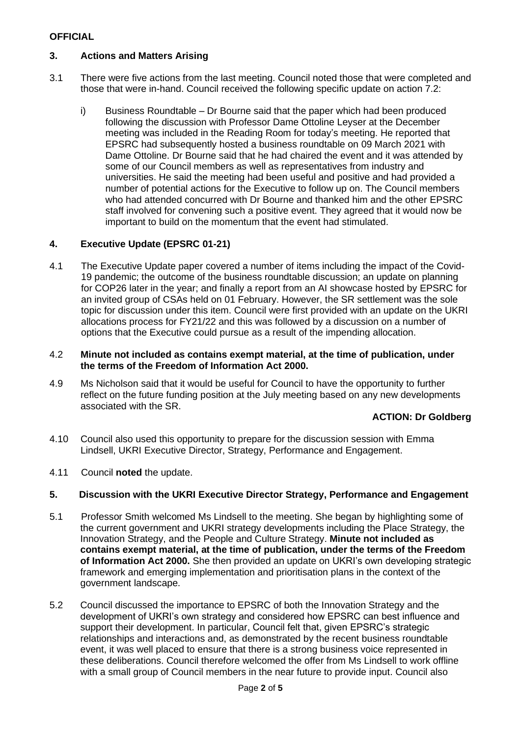# **OFFICIAL**

# **3. Actions and Matters Arising**

- 3.1 There were five actions from the last meeting. Council noted those that were completed and those that were in-hand. Council received the following specific update on action 7.2:
	- i) Business Roundtable Dr Bourne said that the paper which had been produced following the discussion with Professor Dame Ottoline Leyser at the December meeting was included in the Reading Room for today's meeting. He reported that EPSRC had subsequently hosted a business roundtable on 09 March 2021 with Dame Ottoline. Dr Bourne said that he had chaired the event and it was attended by some of our Council members as well as representatives from industry and universities. He said the meeting had been useful and positive and had provided a number of potential actions for the Executive to follow up on. The Council members who had attended concurred with Dr Bourne and thanked him and the other EPSRC staff involved for convening such a positive event. They agreed that it would now be important to build on the momentum that the event had stimulated.

## **4. Executive Update (EPSRC 01-21)**

4.1 The Executive Update paper covered a number of items including the impact of the Covid-19 pandemic; the outcome of the business roundtable discussion; an update on planning for COP26 later in the year; and finally a report from an AI showcase hosted by EPSRC for an invited group of CSAs held on 01 February. However, the SR settlement was the sole topic for discussion under this item. Council were first provided with an update on the UKRI allocations process for FY21/22 and this was followed by a discussion on a number of options that the Executive could pursue as a result of the impending allocation.

#### 4.2 **Minute not included as contains exempt material, at the time of publication, under the terms of the Freedom of Information Act 2000.**

4.9 Ms Nicholson said that it would be useful for Council to have the opportunity to further reflect on the future funding position at the July meeting based on any new developments associated with the SR.

#### **ACTION: Dr Goldberg**

- 4.10 Council also used this opportunity to prepare for the discussion session with Emma Lindsell, UKRI Executive Director, Strategy, Performance and Engagement.
- 4.11 Council **noted** the update.

#### **5. Discussion with the UKRI Executive Director Strategy, Performance and Engagement**

- 5.1 Professor Smith welcomed Ms Lindsell to the meeting. She began by highlighting some of the current government and UKRI strategy developments including the Place Strategy, the Innovation Strategy, and the People and Culture Strategy. **Minute not included as contains exempt material, at the time of publication, under the terms of the Freedom of Information Act 2000.** She then provided an update on UKRI's own developing strategic framework and emerging implementation and prioritisation plans in the context of the government landscape.
- 5.2 Council discussed the importance to EPSRC of both the Innovation Strategy and the development of UKRI's own strategy and considered how EPSRC can best influence and support their development. In particular, Council felt that, given EPSRC's strategic relationships and interactions and, as demonstrated by the recent business roundtable event, it was well placed to ensure that there is a strong business voice represented in these deliberations. Council therefore welcomed the offer from Ms Lindsell to work offline with a small group of Council members in the near future to provide input. Council also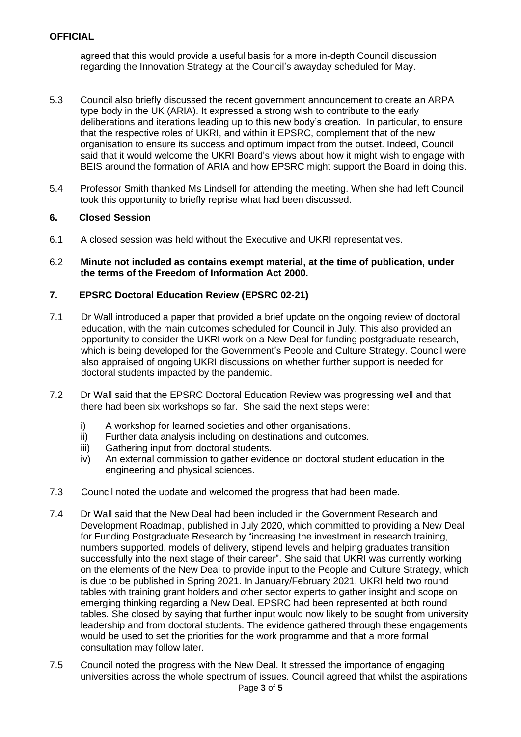agreed that this would provide a useful basis for a more in-depth Council discussion regarding the Innovation Strategy at the Council's awayday scheduled for May.

- 5.3 Council also briefly discussed the recent government announcement to create an ARPA type body in the UK (ARIA). It expressed a strong wish to contribute to the early deliberations and iterations leading up to this new body's creation. In particular, to ensure that the respective roles of UKRI, and within it EPSRC, complement that of the new organisation to ensure its success and optimum impact from the outset. Indeed, Council said that it would welcome the UKRI Board's views about how it might wish to engage with BEIS around the formation of ARIA and how EPSRC might support the Board in doing this.
- 5.4 Professor Smith thanked Ms Lindsell for attending the meeting. When she had left Council took this opportunity to briefly reprise what had been discussed.

## **6. Closed Session**

- 6.1 A closed session was held without the Executive and UKRI representatives.
- 6.2 **Minute not included as contains exempt material, at the time of publication, under the terms of the Freedom of Information Act 2000.**

#### **7. EPSRC Doctoral Education Review (EPSRC 02-21)**

- 7.1 Dr Wall introduced a paper that provided a brief update on the ongoing review of doctoral education, with the main outcomes scheduled for Council in July. This also provided an opportunity to consider the UKRI work on a New Deal for funding postgraduate research, which is being developed for the Government's People and Culture Strategy. Council were also appraised of ongoing UKRI discussions on whether further support is needed for doctoral students impacted by the pandemic.
- 7.2 Dr Wall said that the EPSRC Doctoral Education Review was progressing well and that there had been six workshops so far. She said the next steps were:
	- i) A workshop for learned societies and other organisations.
	- ii) Further data analysis including on destinations and outcomes.
	- iii) Gathering input from doctoral students.
	- iv) An external commission to gather evidence on doctoral student education in the engineering and physical sciences.
- 7.3 Council noted the update and welcomed the progress that had been made.
- 7.4 Dr Wall said that the New Deal had been included in the Government Research and Development Roadmap, published in July 2020, which committed to providing a New Deal for Funding Postgraduate Research by "increasing the investment in research training, numbers supported, models of delivery, stipend levels and helping graduates transition successfully into the next stage of their career". She said that UKRI was currently working on the elements of the New Deal to provide input to the People and Culture Strategy, which is due to be published in Spring 2021. In January/February 2021, UKRI held two round tables with training grant holders and other sector experts to gather insight and scope on emerging thinking regarding a New Deal. EPSRC had been represented at both round tables. She closed by saying that further input would now likely to be sought from university leadership and from doctoral students. The evidence gathered through these engagements would be used to set the priorities for the work programme and that a more formal consultation may follow later.
- Page **3** of **5** 7.5 Council noted the progress with the New Deal. It stressed the importance of engaging universities across the whole spectrum of issues. Council agreed that whilst the aspirations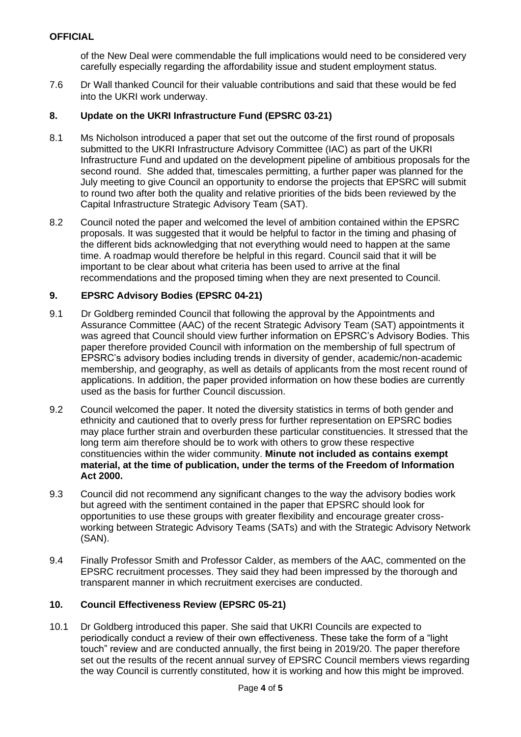# **OFFICIAL**

of the New Deal were commendable the full implications would need to be considered very carefully especially regarding the affordability issue and student employment status.

7.6 Dr Wall thanked Council for their valuable contributions and said that these would be fed into the UKRI work underway.

#### **8. Update on the UKRI Infrastructure Fund (EPSRC 03-21)**

- 8.1 Ms Nicholson introduced a paper that set out the outcome of the first round of proposals submitted to the UKRI Infrastructure Advisory Committee (IAC) as part of the UKRI Infrastructure Fund and updated on the development pipeline of ambitious proposals for the second round. She added that, timescales permitting, a further paper was planned for the July meeting to give Council an opportunity to endorse the projects that EPSRC will submit to round two after both the quality and relative priorities of the bids been reviewed by the Capital Infrastructure Strategic Advisory Team (SAT).
- 8.2 Council noted the paper and welcomed the level of ambition contained within the EPSRC proposals. It was suggested that it would be helpful to factor in the timing and phasing of the different bids acknowledging that not everything would need to happen at the same time. A roadmap would therefore be helpful in this regard. Council said that it will be important to be clear about what criteria has been used to arrive at the final recommendations and the proposed timing when they are next presented to Council.

## **9. EPSRC Advisory Bodies (EPSRC 04-21)**

- 9.1 Dr Goldberg reminded Council that following the approval by the Appointments and Assurance Committee (AAC) of the recent Strategic Advisory Team (SAT) appointments it was agreed that Council should view further information on EPSRC's Advisory Bodies. This paper therefore provided Council with information on the membership of full spectrum of EPSRC's advisory bodies including trends in diversity of gender, academic/non-academic membership, and geography, as well as details of applicants from the most recent round of applications. In addition, the paper provided information on how these bodies are currently used as the basis for further Council discussion.
- 9.2 Council welcomed the paper. It noted the diversity statistics in terms of both gender and ethnicity and cautioned that to overly press for further representation on EPSRC bodies may place further strain and overburden these particular constituencies. It stressed that the long term aim therefore should be to work with others to grow these respective constituencies within the wider community. **Minute not included as contains exempt material, at the time of publication, under the terms of the Freedom of Information Act 2000.**
- 9.3 Council did not recommend any significant changes to the way the advisory bodies work but agreed with the sentiment contained in the paper that EPSRC should look for opportunities to use these groups with greater flexibility and encourage greater crossworking between Strategic Advisory Teams (SATs) and with the Strategic Advisory Network (SAN).
- 9.4 Finally Professor Smith and Professor Calder, as members of the AAC, commented on the EPSRC recruitment processes. They said they had been impressed by the thorough and transparent manner in which recruitment exercises are conducted.

#### **10. Council Effectiveness Review (EPSRC 05-21)**

10.1 Dr Goldberg introduced this paper. She said that UKRI Councils are expected to periodically conduct a review of their own effectiveness. These take the form of a "light touch" review and are conducted annually, the first being in 2019/20. The paper therefore set out the results of the recent annual survey of EPSRC Council members views regarding the way Council is currently constituted, how it is working and how this might be improved.